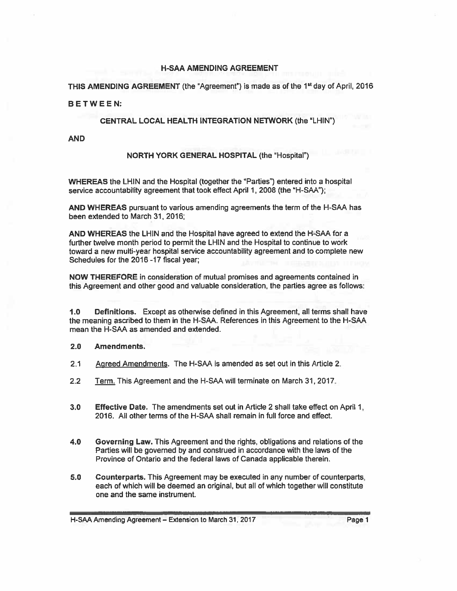## **H-SAA AMENDING AGREEMENT**

THIS AMENDING AGREEMENT (the "Agreement") is made as of the 1st day of April, 2016

#### BETWEEN:

## CENTRAL LOCAL HEALTH INTEGRATION NETWORK (the "LHIN")

**AND** 

## NORTH YORK GENERAL HOSPITAL (the "Hospital")

WHEREAS the LHIN and the Hospital (together the "Parties") entered into a hospital service accountability agreement that took effect April 1, 2008 (the "H-SAA");

AND WHEREAS pursuant to various amending agreements the term of the H-SAA has been extended to March 31, 2016;

AND WHEREAS the LHIN and the Hospital have agreed to extend the H-SAA for a further twelve month period to permit the LHIN and the Hospital to continue to work toward a new multi-year hospital service accountability agreement and to complete new Schedules for the 2016 -17 fiscal year:

NOW THEREFORE in consideration of mutual promises and agreements contained in this Agreement and other good and valuable consideration, the parties agree as follows:

Definitions. Except as otherwise defined in this Agreement, all terms shall have  $1.0$ the meaning ascribed to them in the H-SAA. References in this Agreement to the H-SAA mean the H-SAA as amended and extended.

#### $2.0$ Amendments.

- $2.1$ Agreed Amendments. The H-SAA is amended as set out in this Article 2.
- $2.2$ Term. This Agreement and the H-SAA will terminate on March 31, 2017.
- $3.0$ **Effective Date.** The amendments set out in Article 2 shall take effect on April 1, 2016. All other terms of the H-SAA shall remain in full force and effect.
- $4.0$ Governing Law. This Agreement and the rights, obligations and relations of the Parties will be governed by and construed in accordance with the laws of the Province of Ontario and the federal laws of Canada applicable therein.
- Counterparts. This Agreement may be executed in any number of counterparts.  $5.0$ each of which will be deemed an original, but all of which together will constitute one and the same instrument.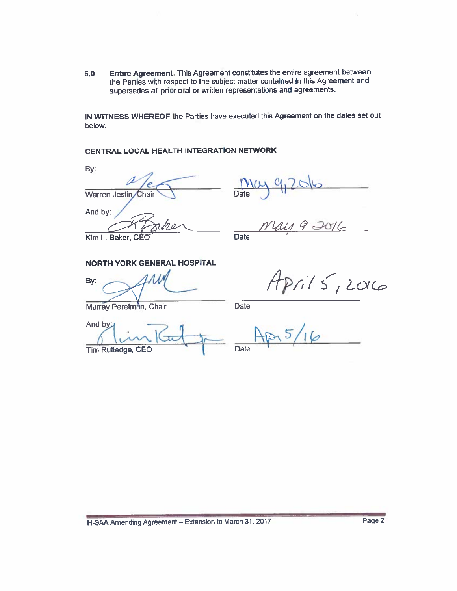Entire Agreement. This Agreement constitutes the entire agreement between  $6.0$ the Parties with respect to the subject matter contained in this Agreement and supersedes all prior oral or written representations and agreements.

IN WITNESS WHEREOF the Parties have executed this Agreement on the dates set out below.

CENTRAL LOCAL HEALTH INTEGRATION NETWORK

By:

Warren Jestin Chair And by:

**Date** 

Kim L. Baker.

**Date** 

 $2715,2016$ 

**NORTH YORK GENERAL HOSPITAL** 

By:

Murray Perelman, Chair

**Date** 

And by: Tim Rutledge, CEO

 $5/16$ Date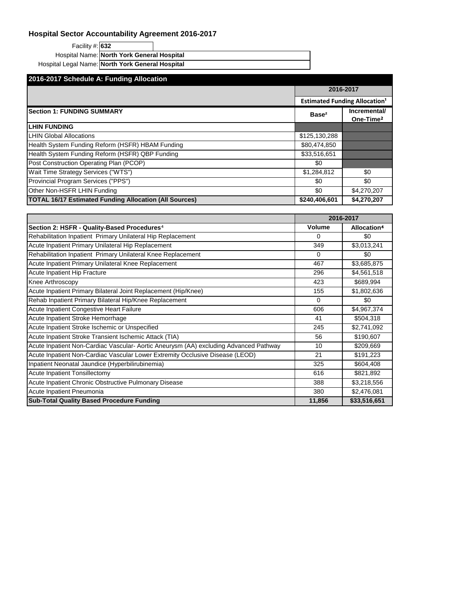| Facility #: 632                                  |                                            |  |
|--------------------------------------------------|--------------------------------------------|--|
|                                                  | Hospital Name: North York General Hospital |  |
| Hospital Legal Name: North York General Hospital |                                            |  |

| 2016-2017 Schedule A: Funding Allocation                      |                                                 |                                       |  |
|---------------------------------------------------------------|-------------------------------------------------|---------------------------------------|--|
|                                                               | 2016-2017                                       |                                       |  |
|                                                               | <b>Estimated Funding Allocation<sup>1</sup></b> |                                       |  |
| <b>Section 1: FUNDING SUMMARY</b>                             | Base <sup>2</sup>                               | Incremental/<br>One-Time <sup>2</sup> |  |
| <b>LHIN FUNDING</b>                                           |                                                 |                                       |  |
| <b>LHIN Global Allocations</b>                                | \$125,130,288                                   |                                       |  |
| Health System Funding Reform (HSFR) HBAM Funding              | \$80,474,850                                    |                                       |  |
| Health System Funding Reform (HSFR) QBP Funding               | \$33,516,651                                    |                                       |  |
| Post Construction Operating Plan (PCOP)                       | \$0                                             |                                       |  |
| Wait Time Strategy Services ("WTS")                           | \$1,284,812                                     | \$0                                   |  |
| Provincial Program Services ("PPS")                           | \$0                                             | \$0                                   |  |
| Other Non-HSFR LHIN Funding                                   | \$0                                             | \$4,270,207                           |  |
| <b>TOTAL 16/17 Estimated Funding Allocation (All Sources)</b> | \$240,406,601                                   | \$4,270,207                           |  |

|                                                                                      |               | 2016-2017               |
|--------------------------------------------------------------------------------------|---------------|-------------------------|
| Section 2: HSFR - Quality-Based Procedures <sup>4</sup>                              | <b>Volume</b> | Allocation <sup>4</sup> |
| Rehabilitation Inpatient Primary Unilateral Hip Replacement                          | 0             | \$0                     |
| Acute Inpatient Primary Unilateral Hip Replacement                                   | 349           | \$3,013,241             |
| Rehabilitation Inpatient Primary Unilateral Knee Replacement                         | $\Omega$      | \$0                     |
| Acute Inpatient Primary Unilateral Knee Replacement                                  | 467           | \$3,685,875             |
| Acute Inpatient Hip Fracture                                                         | 296           | \$4,561,518             |
| Knee Arthroscopy                                                                     | 423           | \$689,994               |
| Acute Inpatient Primary Bilateral Joint Replacement (Hip/Knee)                       | 155           | \$1,802,636             |
| Rehab Inpatient Primary Bilateral Hip/Knee Replacement                               | $\Omega$      | \$0                     |
| <b>Acute Inpatient Congestive Heart Failure</b>                                      | 606           | \$4,967,374             |
| Acute Inpatient Stroke Hemorrhage                                                    | 41            | \$504,318               |
| Acute Inpatient Stroke Ischemic or Unspecified                                       | 245           | \$2,741,092             |
| Acute Inpatient Stroke Transient Ischemic Attack (TIA)                               | 56            | \$190,607               |
| Acute Inpatient Non-Cardiac Vascular-Aortic Aneurysm (AA) excluding Advanced Pathway | 10            | \$209,669               |
| Acute Inpatient Non-Cardiac Vascular Lower Extremity Occlusive Disease (LEOD)        | 21            | \$191,223               |
| Inpatient Neonatal Jaundice (Hyperbilirubinemia)                                     | 325           | \$604,408               |
| Acute Inpatient Tonsillectomy                                                        | 616           | \$821,892               |
| Acute Inpatient Chronic Obstructive Pulmonary Disease                                | 388           | \$3,218,556             |
| Acute Inpatient Pneumonia                                                            | 380           | \$2,476,081             |
| <b>Sub-Total Quality Based Procedure Funding</b>                                     | 11,856        | \$33,516,651            |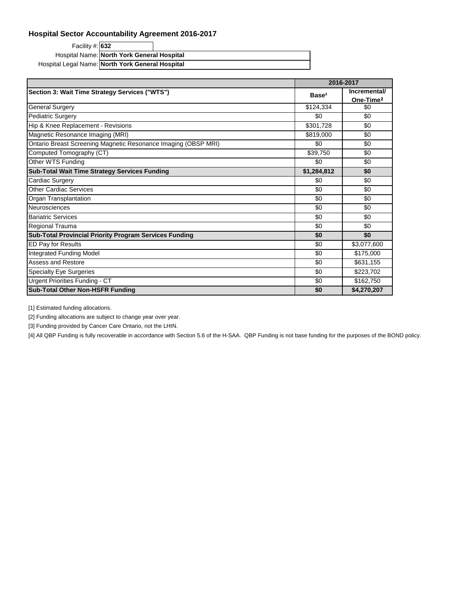Facility #: **632** Hospital Name: North York General Hospital Hospital Legal Name: North York General Hospital

|                                                                |                   | 2016-2017                             |  |
|----------------------------------------------------------------|-------------------|---------------------------------------|--|
| Section 3: Wait Time Strategy Services ("WTS")                 | Base <sup>2</sup> | Incremental/<br>One-Time <sup>2</sup> |  |
| <b>General Surgery</b>                                         | \$124,334         | \$0                                   |  |
| <b>Pediatric Surgery</b>                                       | \$0               | \$0                                   |  |
| Hip & Knee Replacement - Revisions                             | \$301,728         | \$0                                   |  |
| Magnetic Resonance Imaging (MRI)                               | \$819,000         | \$0                                   |  |
| Ontario Breast Screening Magnetic Resonance Imaging (OBSP MRI) | \$0               | \$0                                   |  |
| Computed Tomography (CT)                                       | \$39,750          | \$0                                   |  |
| Other WTS Funding                                              | \$0               | \$0                                   |  |
| <b>Sub-Total Wait Time Strategy Services Funding</b>           | \$1,284,812       | \$0                                   |  |
| Cardiac Surgery                                                | \$0               | \$0                                   |  |
| <b>Other Cardiac Services</b>                                  | \$0               | \$0                                   |  |
| Organ Transplantation                                          | \$0               | \$0                                   |  |
| Neurosciences                                                  | \$0               | \$0                                   |  |
| <b>Bariatric Services</b>                                      | \$0               | \$0                                   |  |
| Regional Trauma                                                | \$0               | \$0                                   |  |
| <b>Sub-Total Provincial Priority Program Services Funding</b>  | \$0               | \$0                                   |  |
| <b>ED Pay for Results</b>                                      | \$0               | \$3,077,600                           |  |
| Integrated Funding Model                                       | \$0               | \$175,000                             |  |
| Assess and Restore                                             | \$0               | \$631,155                             |  |
| <b>Specialty Eye Surgeries</b>                                 | \$0               | \$223,702                             |  |
| Urgent Priorities Funding - CT                                 | \$0               | \$162,750                             |  |
| <b>Sub-Total Other Non-HSFR Funding</b>                        | \$0               | \$4,270,207                           |  |

[1] Estimated funding allocations.

[2] Funding allocations are subject to change year over year.

[3] Funding provided by Cancer Care Ontario, not the LHIN.

[4] All QBP Funding is fully recoverable in accordance with Section 5.6 of the H-SAA. QBP Funding is not base funding for the purposes of the BOND policy.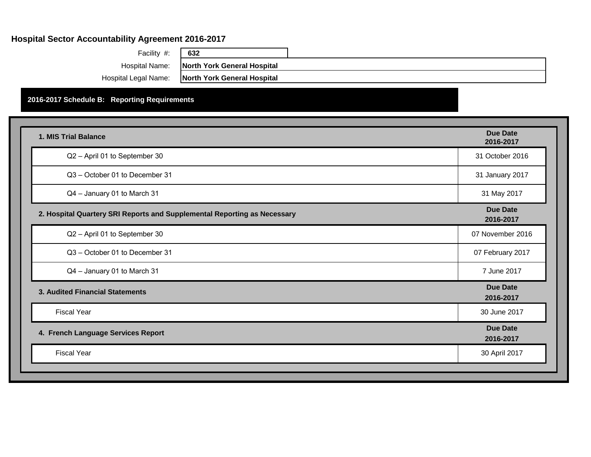| Facility #:          |    |
|----------------------|----|
| Hospital Name:       | I  |
| Hospital Legal Name: | Iı |

**North York General Hospital North York General Hospital**

Facility #: **632**

# **2016-2017 Schedule B: Reporting Requirements**

| 1. MIS Trial Balance                                                     | <b>Due Date</b><br>2016-2017 |
|--------------------------------------------------------------------------|------------------------------|
| Q2 - April 01 to September 30                                            | 31 October 2016              |
| Q3 - October 01 to December 31                                           | 31 January 2017              |
| Q4 - January 01 to March 31                                              | 31 May 2017                  |
| 2. Hospital Quartery SRI Reports and Supplemental Reporting as Necessary | <b>Due Date</b><br>2016-2017 |
| Q2 - April 01 to September 30                                            | 07 November 2016             |
| Q3 - October 01 to December 31                                           | 07 February 2017             |
| Q4 - January 01 to March 31                                              | 7 June 2017                  |
| 3. Audited Financial Statements                                          | <b>Due Date</b><br>2016-2017 |
| <b>Fiscal Year</b>                                                       | 30 June 2017                 |
| 4. French Language Services Report                                       | <b>Due Date</b><br>2016-2017 |
| <b>Fiscal Year</b>                                                       | 30 April 2017                |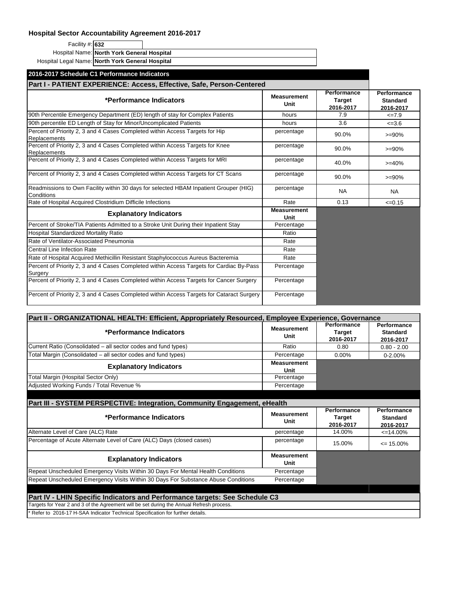Facility #: **632**

Hospital Name: North York General Hospital

Hospital Legal Name: North York General Hospital

| 2016-2017 Schedule C1 Performance Indicators                                                        |                            |                                           |                                             |
|-----------------------------------------------------------------------------------------------------|----------------------------|-------------------------------------------|---------------------------------------------|
| Part I - PATIENT EXPERIENCE: Access, Effective, Safe, Person-Centered                               |                            |                                           |                                             |
| *Performance Indicators                                                                             | <b>Measurement</b><br>Unit | Performance<br><b>Target</b><br>2016-2017 | Performance<br><b>Standard</b><br>2016-2017 |
| 90th Percentile Emergency Department (ED) length of stay for Complex Patients                       | hours                      | 7.9                                       | $<=7.9$                                     |
| 90th percentile ED Length of Stay for Minor/Uncomplicated Patients                                  | hours                      | 3.6                                       | $<=3.6$                                     |
| Percent of Priority 2, 3 and 4 Cases Completed within Access Targets for Hip<br>Replacements        | percentage                 | 90.0%                                     | $>= 90%$                                    |
| Percent of Priority 2, 3 and 4 Cases Completed within Access Targets for Knee<br>Replacements       | percentage                 | 90.0%                                     | $>= 90%$                                    |
| Percent of Priority 2, 3 and 4 Cases Completed within Access Targets for MRI                        | percentage                 | 40.0%                                     | $>= 40%$                                    |
| Percent of Priority 2, 3 and 4 Cases Completed within Access Targets for CT Scans                   | percentage                 | 90.0%                                     | $>= 90%$                                    |
| Readmissions to Own Facility within 30 days for selected HBAM Inpatient Grouper (HIG)<br>Conditions | percentage                 | <b>NA</b>                                 | <b>NA</b>                                   |
| Rate of Hospital Acquired Clostridium Difficile Infections                                          | Rate                       | 0.13                                      | $\leq 0.15$                                 |
| <b>Explanatory Indicators</b>                                                                       | <b>Measurement</b><br>Unit |                                           |                                             |
| Percent of Stroke/TIA Patients Admitted to a Stroke Unit During their Inpatient Stay                | Percentage                 |                                           |                                             |
| Hospital Standardized Mortality Ratio                                                               | Ratio                      |                                           |                                             |
| Rate of Ventilator-Associated Pneumonia                                                             | Rate                       |                                           |                                             |
| <b>Central Line Infection Rate</b>                                                                  | Rate                       |                                           |                                             |
| Rate of Hospital Acquired Methicillin Resistant Staphylococcus Aureus Bacteremia                    | Rate                       |                                           |                                             |
| Percent of Priority 2, 3 and 4 Cases Completed within Access Targets for Cardiac By-Pass<br>Surgery | Percentage                 |                                           |                                             |
| Percent of Priority 2, 3 and 4 Cases Completed within Access Targets for Cancer Surgery             | Percentage                 |                                           |                                             |
| Percent of Priority 2, 3 and 4 Cases Completed within Access Targets for Cataract Surgery           | Percentage                 |                                           |                                             |

| Part II - ORGANIZATIONAL HEALTH: Efficient, Appropriately Resourced, Employee Experience, Governance |                            |                                           |                                             |  |
|------------------------------------------------------------------------------------------------------|----------------------------|-------------------------------------------|---------------------------------------------|--|
| *Performance Indicators                                                                              | <b>Measurement</b><br>Unit | Performance<br><b>Target</b><br>2016-2017 | Performance<br><b>Standard</b><br>2016-2017 |  |
| Current Ratio (Consolidated – all sector codes and fund types)                                       | Ratio                      | 0.80                                      | $0.80 - 2.00$                               |  |
| Total Margin (Consolidated - all sector codes and fund types)                                        | Percentage                 | $0.00\%$                                  | $0 - 2.00%$                                 |  |
| <b>Explanatory Indicators</b>                                                                        | <b>Measurement</b><br>Unit |                                           |                                             |  |
| Total Margin (Hospital Sector Only)                                                                  | Percentage                 |                                           |                                             |  |
| Adjusted Working Funds / Total Revenue %                                                             | Percentage                 |                                           |                                             |  |

| Part III - SYSTEM PERSPECTIVE: Integration, Community Engagement, eHealth                |                            |                                           |                                      |  |
|------------------------------------------------------------------------------------------|----------------------------|-------------------------------------------|--------------------------------------|--|
| *Performance Indicators                                                                  | <b>Measurement</b><br>Unit | Performance<br><b>Target</b><br>2016-2017 | Performance<br>Standard<br>2016-2017 |  |
| Alternate Level of Care (ALC) Rate                                                       | percentage                 | 14.00%                                    | $\leq$ 14.00%                        |  |
| Percentage of Acute Alternate Level of Care (ALC) Days (closed cases)                    | percentage                 | 15.00%                                    | $\leq$ 15.00%                        |  |
| <b>Explanatory Indicators</b>                                                            | <b>Measurement</b><br>Unit |                                           |                                      |  |
| Repeat Unscheduled Emergency Visits Within 30 Days For Mental Health Conditions          | Percentage                 |                                           |                                      |  |
| Repeat Unscheduled Emergency Visits Within 30 Days For Substance Abuse Conditions        | Percentage                 |                                           |                                      |  |
|                                                                                          |                            |                                           |                                      |  |
| Part IV - LHIN Specific Indicators and Performance targets: See Schedule C3              |                            |                                           |                                      |  |
| Targets for Year 2 and 3 of the Agreement will be set during the Annual Refresh process. |                            |                                           |                                      |  |
| Refer to 2016-17 H-SAA Indicator Technical Specification for further details.            |                            |                                           |                                      |  |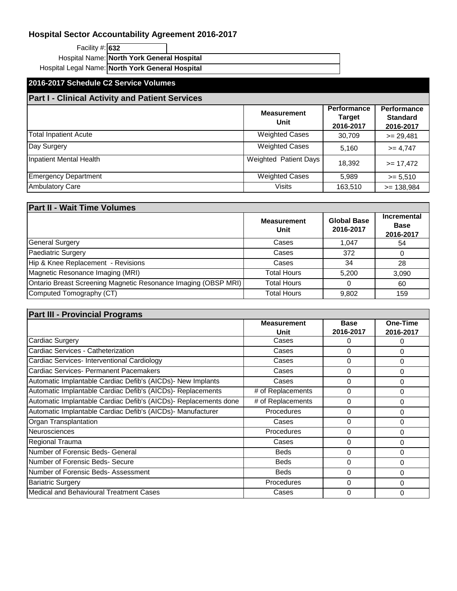| Facility #: 632                                  |                                            |  |
|--------------------------------------------------|--------------------------------------------|--|
|                                                  | Hospital Name: North York General Hospital |  |
| Hospital Legal Name: North York General Hospital |                                            |  |

# **2016-2017 Schedule C2 Service Volumes**

# **Part I - Clinical Activity and Patient Services**

|                              | <b>Measurement</b><br>Unit   | <b>Performance</b><br><b>Target</b><br>2016-2017 | Performance<br><b>Standard</b><br>2016-2017 |
|------------------------------|------------------------------|--------------------------------------------------|---------------------------------------------|
| <b>Total Inpatient Acute</b> | <b>Weighted Cases</b>        | 30,709                                           | $>= 29,481$                                 |
| Day Surgery                  | <b>Weighted Cases</b>        | 5,160                                            | $>= 4,747$                                  |
| Inpatient Mental Health      | <b>Weighted Patient Days</b> | 18,392                                           | $>= 17,472$                                 |
| <b>Emergency Department</b>  | <b>Weighted Cases</b>        | 5,989                                            | $>= 5,510$                                  |
| <b>Ambulatory Care</b>       | <b>Visits</b>                | 163,510                                          | $= 138,984$                                 |

| <b>Part II - Wait Time Volumes</b>                             |                            |                                 |                                                |  |
|----------------------------------------------------------------|----------------------------|---------------------------------|------------------------------------------------|--|
|                                                                | <b>Measurement</b><br>Unit | <b>Global Base</b><br>2016-2017 | <b>Incremental</b><br><b>Base</b><br>2016-2017 |  |
| <b>General Surgery</b>                                         | Cases                      | 1,047                           | 54                                             |  |
| <b>Paediatric Surgery</b>                                      | Cases                      | 372                             |                                                |  |
| Hip & Knee Replacement - Revisions                             | Cases                      | 34                              | 28                                             |  |
| Magnetic Resonance Imaging (MRI)                               | <b>Total Hours</b>         | 5.200                           | 3,090                                          |  |
| Ontario Breast Screening Magnetic Resonance Imaging (OBSP MRI) | <b>Total Hours</b>         | 0                               | 60                                             |  |
| Computed Tomography (CT)                                       | <b>Total Hours</b>         | 9,802                           | 159                                            |  |

| <b>Part III - Provincial Programs</b>                            |                            |                          |                       |
|------------------------------------------------------------------|----------------------------|--------------------------|-----------------------|
|                                                                  | <b>Measurement</b><br>Unit | <b>Base</b><br>2016-2017 | One-Time<br>2016-2017 |
| <b>Cardiac Surgery</b>                                           | Cases                      | 0                        | O                     |
| Cardiac Services - Catheterization                               | Cases                      | $\Omega$                 | 0                     |
| Cardiac Services-Interventional Cardiology                       | Cases                      | $\Omega$                 | 0                     |
| Cardiac Services- Permanent Pacemakers                           | Cases                      | 0                        | 0                     |
| Automatic Implantable Cardiac Defib's (AICDs) -New Implants      | Cases                      | $\Omega$                 | 0                     |
| Automatic Implantable Cardiac Defib's (AICDs)- Replacements      | # of Replacements          | $\Omega$                 | 0                     |
| Automatic Implantable Cardiac Defib's (AICDs)- Replacements done | # of Replacements          | 0                        | 0                     |
| Automatic Implantable Cardiac Defib's (AICDs)- Manufacturer      | <b>Procedures</b>          | 0                        | 0                     |
| Organ Transplantation                                            | Cases                      | $\Omega$                 | 0                     |
| <b>Neurosciences</b>                                             | <b>Procedures</b>          | $\Omega$                 | 0                     |
| Regional Trauma                                                  | Cases                      | $\Omega$                 | 0                     |
| Number of Forensic Beds- General                                 | <b>Beds</b>                | $\Omega$                 | 0                     |
| Number of Forensic Beds- Secure                                  | <b>Beds</b>                | $\Omega$                 | 0                     |
| Number of Forensic Beds- Assessment                              | <b>Beds</b>                | $\Omega$                 | 0                     |
| <b>Bariatric Surgery</b>                                         | Procedures                 | $\Omega$                 | O                     |
| Medical and Behavioural Treatment Cases                          | Cases                      | $\Omega$                 | 0                     |